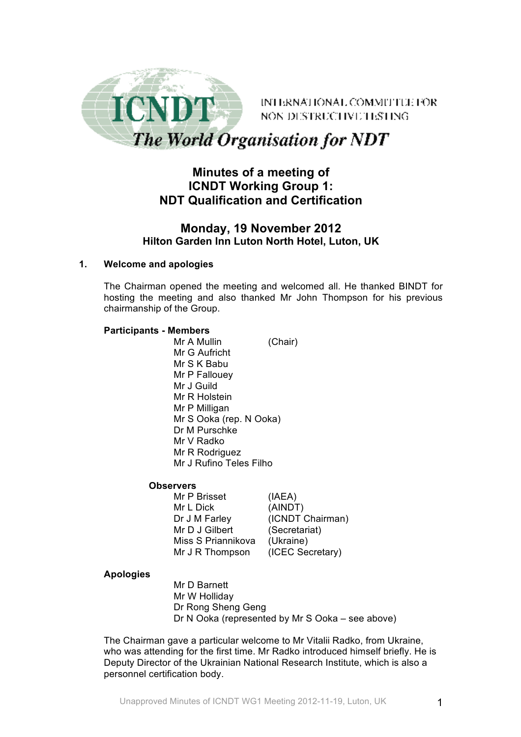

INTERNATIONAL COMMITTEE FOR NON DESTRUCTIVE HISTING

The World Organisation for NDT

# **Minutes of a meeting of ICNDT Working Group 1: NDT Qualification and Certification**

## **Monday, 19 November 2012 Hilton Garden Inn Luton North Hotel, Luton, UK**

### **1. Welcome and apologies**

The Chairman opened the meeting and welcomed all. He thanked BINDT for hosting the meeting and also thanked Mr John Thompson for his previous chairmanship of the Group.

### **Participants - Members**

Mr A Mullin (Chair) Mr G Aufricht Mr S K Babu Mr P Fallouey Mr J Guild Mr R Holstein Mr P Milligan Mr S Ooka (rep. N Ooka) Dr M Purschke Mr V Radko Mr R Rodriguez Mr J Rufino Teles Filho

### **Observers**

Mr P Brisset (IAEA) Mr L Dick (AINDT) Dr J M Farley (ICNDT Chairman) Mr D J Gilbert (Secretariat) Miss S Priannikova (Ukraine) Mr J R Thompson (ICEC Secretary)

### **Apologies**

Mr D Barnett Mr W Holliday Dr Rong Sheng Geng Dr N Ooka (represented by Mr S Ooka – see above)

The Chairman gave a particular welcome to Mr Vitalii Radko, from Ukraine, who was attending for the first time. Mr Radko introduced himself briefly. He is Deputy Director of the Ukrainian National Research Institute, which is also a personnel certification body.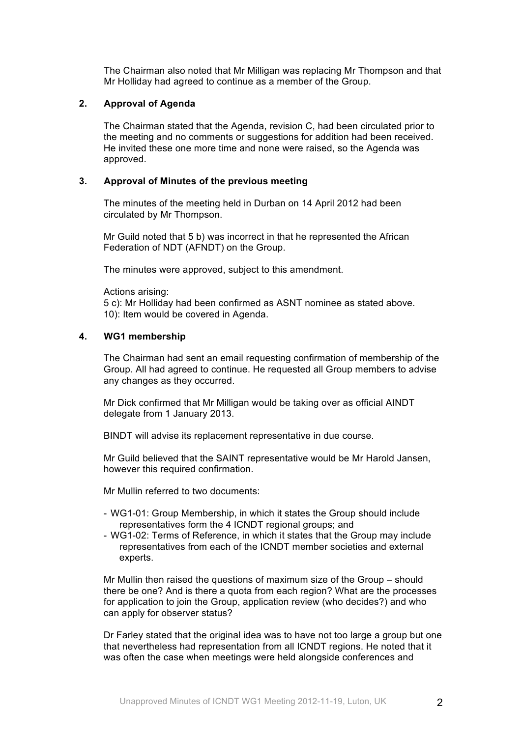The Chairman also noted that Mr Milligan was replacing Mr Thompson and that Mr Holliday had agreed to continue as a member of the Group.

#### **2. Approval of Agenda**

The Chairman stated that the Agenda, revision C, had been circulated prior to the meeting and no comments or suggestions for addition had been received. He invited these one more time and none were raised, so the Agenda was approved.

#### **3. Approval of Minutes of the previous meeting**

The minutes of the meeting held in Durban on 14 April 2012 had been circulated by Mr Thompson.

Mr Guild noted that 5 b) was incorrect in that he represented the African Federation of NDT (AFNDT) on the Group.

The minutes were approved, subject to this amendment.

Actions arising:

5 c): Mr Holliday had been confirmed as ASNT nominee as stated above. 10): Item would be covered in Agenda.

#### **4. WG1 membership**

The Chairman had sent an email requesting confirmation of membership of the Group. All had agreed to continue. He requested all Group members to advise any changes as they occurred.

Mr Dick confirmed that Mr Milligan would be taking over as official AINDT delegate from 1 January 2013.

BINDT will advise its replacement representative in due course.

Mr Guild believed that the SAINT representative would be Mr Harold Jansen, however this required confirmation.

Mr Mullin referred to two documents:

- WG1-01: Group Membership, in which it states the Group should include representatives form the 4 ICNDT regional groups; and
- WG1-02: Terms of Reference, in which it states that the Group may include representatives from each of the ICNDT member societies and external experts.

Mr Mullin then raised the questions of maximum size of the Group – should there be one? And is there a quota from each region? What are the processes for application to join the Group, application review (who decides?) and who can apply for observer status?

Dr Farley stated that the original idea was to have not too large a group but one that nevertheless had representation from all ICNDT regions. He noted that it was often the case when meetings were held alongside conferences and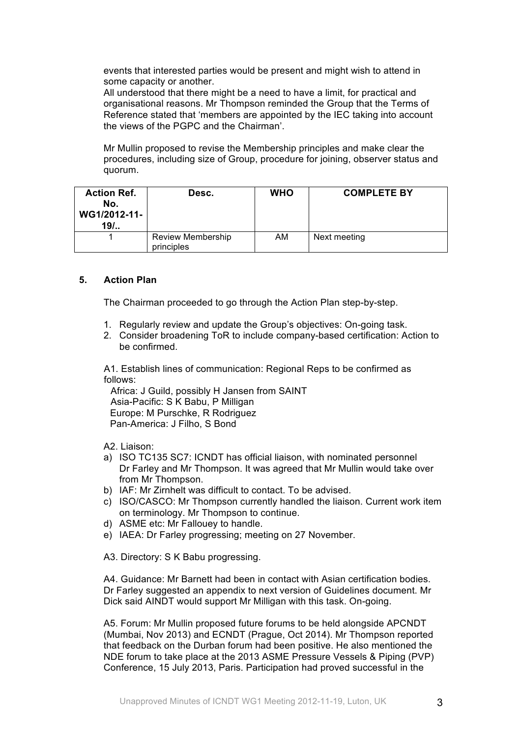events that interested parties would be present and might wish to attend in some capacity or another.

All understood that there might be a need to have a limit, for practical and organisational reasons. Mr Thompson reminded the Group that the Terms of Reference stated that 'members are appointed by the IEC taking into account the views of the PGPC and the Chairman'.

Mr Mullin proposed to revise the Membership principles and make clear the procedures, including size of Group, procedure for joining, observer status and quorum.

| <b>Action Ref.</b><br>No.<br>WG1/2012-11-<br>$19/$ . | Desc.                                  | <b>WHO</b> | <b>COMPLETE BY</b> |
|------------------------------------------------------|----------------------------------------|------------|--------------------|
|                                                      | <b>Review Membership</b><br>principles | AM         | Next meeting       |

#### **5. Action Plan**

The Chairman proceeded to go through the Action Plan step-by-step.

- 1. Regularly review and update the Group's objectives: On-going task.
- 2. Consider broadening ToR to include company-based certification: Action to be confirmed.

A1. Establish lines of communication: Regional Reps to be confirmed as follows:

Africa: J Guild, possibly H Jansen from SAINT Asia-Pacific: S K Babu, P Milligan Europe: M Purschke, R Rodriguez Pan-America: J Filho, S Bond

A2. Liaison:

- a) ISO TC135 SC7: ICNDT has official liaison, with nominated personnel Dr Farley and Mr Thompson. It was agreed that Mr Mullin would take over from Mr Thompson.
- b) IAF: Mr Zirnhelt was difficult to contact. To be advised.
- c) ISO/CASCO: Mr Thompson currently handled the liaison. Current work item on terminology. Mr Thompson to continue.
- d) ASME etc: Mr Fallouey to handle.
- e) IAEA: Dr Farley progressing; meeting on 27 November.

A3. Directory: S K Babu progressing.

A4. Guidance: Mr Barnett had been in contact with Asian certification bodies. Dr Farley suggested an appendix to next version of Guidelines document. Mr Dick said AINDT would support Mr Milligan with this task. On-going.

A5. Forum: Mr Mullin proposed future forums to be held alongside APCNDT (Mumbai, Nov 2013) and ECNDT (Prague, Oct 2014). Mr Thompson reported that feedback on the Durban forum had been positive. He also mentioned the NDE forum to take place at the 2013 ASME Pressure Vessels & Piping (PVP) Conference, 15 July 2013, Paris. Participation had proved successful in the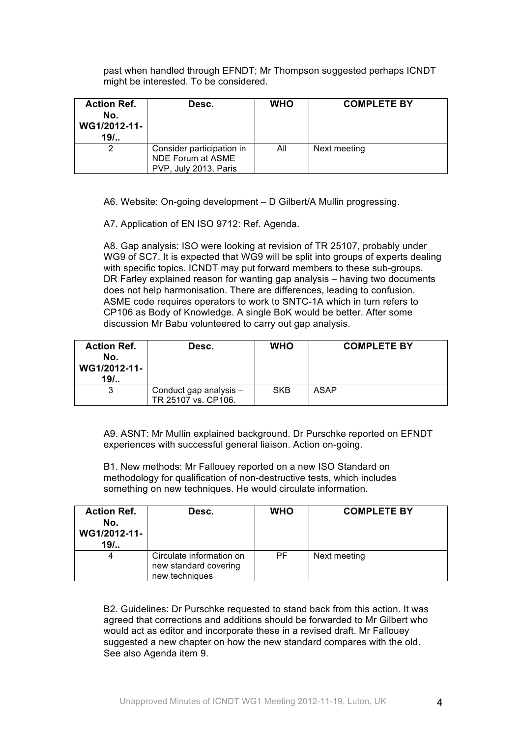past when handled through EFNDT; Mr Thompson suggested perhaps ICNDT might be interested. To be considered.

| <b>Action Ref.</b><br>No.<br>WG1/2012-11-<br>$19/$ | Desc.                                                                   | <b>WHO</b> | <b>COMPLETE BY</b> |
|----------------------------------------------------|-------------------------------------------------------------------------|------------|--------------------|
|                                                    | Consider participation in<br>NDE Forum at ASME<br>PVP, July 2013, Paris | All        | Next meeting       |

A6. Website: On-going development – D Gilbert/A Mullin progressing.

A7. Application of EN ISO 9712: Ref. Agenda.

A8. Gap analysis: ISO were looking at revision of TR 25107, probably under WG9 of SC7. It is expected that WG9 will be split into groups of experts dealing with specific topics. ICNDT may put forward members to these sub-groups. DR Farley explained reason for wanting gap analysis – having two documents does not help harmonisation. There are differences, leading to confusion. ASME code requires operators to work to SNTC-1A which in turn refers to CP106 as Body of Knowledge. A single BoK would be better. After some discussion Mr Babu volunteered to carry out gap analysis.

| <b>Action Ref.</b><br>No.<br>WG1/2012-11-<br>$19/$ . | Desc.                                         | <b>WHO</b> | <b>COMPLETE BY</b> |
|------------------------------------------------------|-----------------------------------------------|------------|--------------------|
|                                                      | Conduct gap analysis -<br>TR 25107 vs. CP106. | <b>SKB</b> | ASAP               |

A9. ASNT: Mr Mullin explained background. Dr Purschke reported on EFNDT experiences with successful general liaison. Action on-going.

B1. New methods: Mr Fallouey reported on a new ISO Standard on methodology for qualification of non-destructive tests, which includes something on new techniques. He would circulate information.

| <b>Action Ref.</b><br>No.<br>WG1/2012-11-<br>$19/$ | Desc.                                                               | <b>WHO</b> | <b>COMPLETE BY</b> |
|----------------------------------------------------|---------------------------------------------------------------------|------------|--------------------|
| 4                                                  | Circulate information on<br>new standard covering<br>new techniques | PF.        | Next meeting       |

B2. Guidelines: Dr Purschke requested to stand back from this action. It was agreed that corrections and additions should be forwarded to Mr Gilbert who would act as editor and incorporate these in a revised draft. Mr Fallouey suggested a new chapter on how the new standard compares with the old. See also Agenda item 9.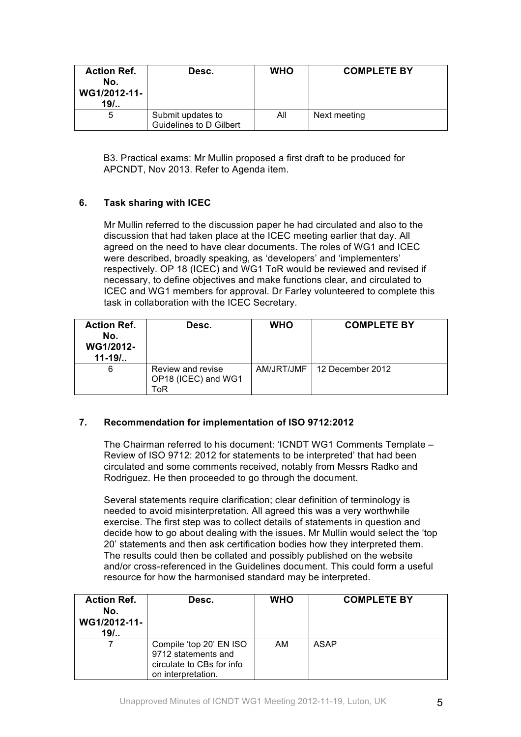| <b>Action Ref.</b><br>No.<br>WG1/2012-11-<br>$19/$ | Desc.                   | <b>WHO</b> | <b>COMPLETE BY</b> |
|----------------------------------------------------|-------------------------|------------|--------------------|
| 5                                                  | Submit updates to       | Αll        | Next meeting       |
|                                                    | Guidelines to D Gilbert |            |                    |

B3. Practical exams: Mr Mullin proposed a first draft to be produced for APCNDT, Nov 2013. Refer to Agenda item.

## **6. Task sharing with ICEC**

Mr Mullin referred to the discussion paper he had circulated and also to the discussion that had taken place at the ICEC meeting earlier that day. All agreed on the need to have clear documents. The roles of WG1 and ICEC were described, broadly speaking, as 'developers' and 'implementers' respectively. OP 18 (ICEC) and WG1 ToR would be reviewed and revised if necessary, to define objectives and make functions clear, and circulated to ICEC and WG1 members for approval. Dr Farley volunteered to complete this task in collaboration with the ICEC Secretary.

| <b>Action Ref.</b><br>No.<br><b>WG1/2012-</b><br>$11 - 19/$ | Desc.                                           | <b>WHO</b> | <b>COMPLETE BY</b> |
|-------------------------------------------------------------|-------------------------------------------------|------------|--------------------|
| 6                                                           | Review and revise<br>OP18 (ICEC) and WG1<br>ToR | AM/JRT/JMF | 12 December 2012   |

### **7. Recommendation for implementation of ISO 9712:2012**

The Chairman referred to his document: 'ICNDT WG1 Comments Template – Review of ISO 9712: 2012 for statements to be interpreted' that had been circulated and some comments received, notably from Messrs Radko and Rodriguez. He then proceeded to go through the document.

Several statements require clarification; clear definition of terminology is needed to avoid misinterpretation. All agreed this was a very worthwhile exercise. The first step was to collect details of statements in question and decide how to go about dealing with the issues. Mr Mullin would select the 'top 20' statements and then ask certification bodies how they interpreted them. The results could then be collated and possibly published on the website and/or cross-referenced in the Guidelines document. This could form a useful resource for how the harmonised standard may be interpreted.

| <b>Action Ref.</b><br>No.<br>WG1/2012-11-<br>$19/$ | Desc.                                                                                             | <b>WHO</b> | <b>COMPLETE BY</b> |
|----------------------------------------------------|---------------------------------------------------------------------------------------------------|------------|--------------------|
|                                                    | Compile 'top 20' EN ISO<br>9712 statements and<br>circulate to CBs for info<br>on interpretation. | AM         | <b>ASAP</b>        |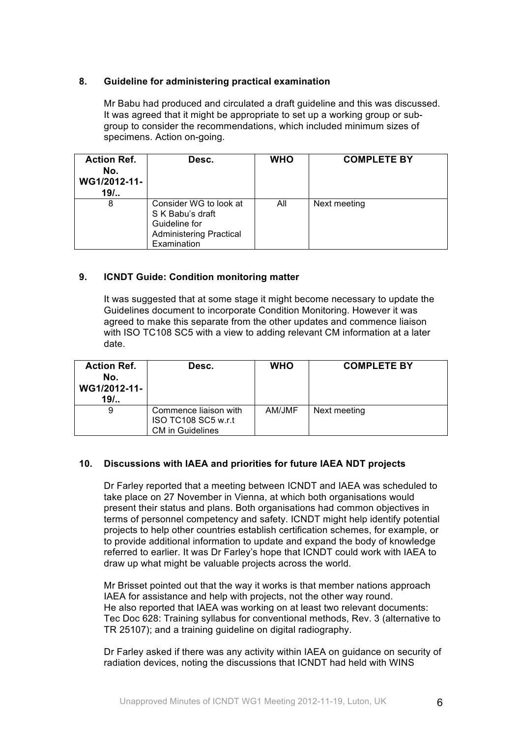### **8. Guideline for administering practical examination**

Mr Babu had produced and circulated a draft guideline and this was discussed. It was agreed that it might be appropriate to set up a working group or subgroup to consider the recommendations, which included minimum sizes of specimens. Action on-going.

| <b>Action Ref.</b><br>No.<br>WG1/2012-11-<br>$19/$ | Desc.                                                                                                        | <b>WHO</b> | <b>COMPLETE BY</b> |
|----------------------------------------------------|--------------------------------------------------------------------------------------------------------------|------------|--------------------|
| 8                                                  | Consider WG to look at<br>S K Babu's draft<br>Guideline for<br><b>Administering Practical</b><br>Examination | All        | Next meeting       |

### **9. ICNDT Guide: Condition monitoring matter**

It was suggested that at some stage it might become necessary to update the Guidelines document to incorporate Condition Monitoring. However it was agreed to make this separate from the other updates and commence liaison with ISO TC108 SC5 with a view to adding relevant CM information at a later date.

| <b>Action Ref.</b><br>No.<br>WG1/2012-11-<br>$19/$ | Desc.                                                                   | <b>WHO</b> | <b>COMPLETE BY</b> |
|----------------------------------------------------|-------------------------------------------------------------------------|------------|--------------------|
| 9                                                  | Commence liaison with<br>ISO TC108 SC5 w.r.t<br><b>CM</b> in Guidelines | AM/JMF     | Next meeting       |

### **10. Discussions with IAEA and priorities for future IAEA NDT projects**

Dr Farley reported that a meeting between ICNDT and IAEA was scheduled to take place on 27 November in Vienna, at which both organisations would present their status and plans. Both organisations had common objectives in terms of personnel competency and safety. ICNDT might help identify potential projects to help other countries establish certification schemes, for example, or to provide additional information to update and expand the body of knowledge referred to earlier. It was Dr Farley's hope that ICNDT could work with IAEA to draw up what might be valuable projects across the world.

Mr Brisset pointed out that the way it works is that member nations approach IAEA for assistance and help with projects, not the other way round. He also reported that IAEA was working on at least two relevant documents: Tec Doc 628: Training syllabus for conventional methods, Rev. 3 (alternative to TR 25107); and a training guideline on digital radiography.

Dr Farley asked if there was any activity within IAEA on guidance on security of radiation devices, noting the discussions that ICNDT had held with WINS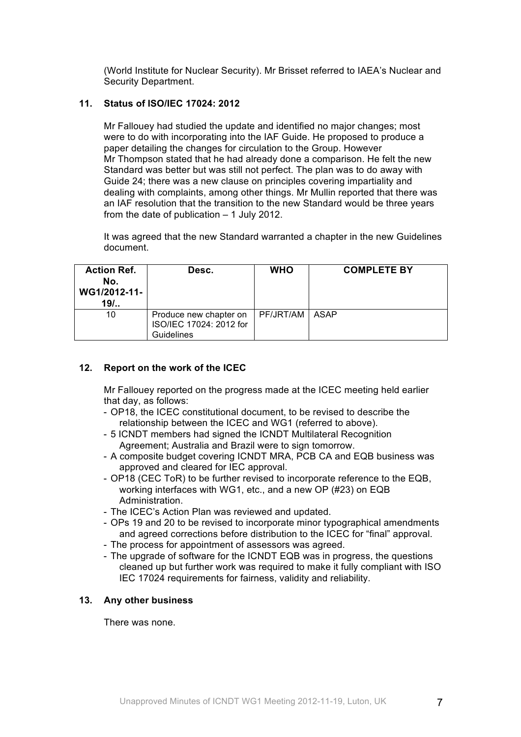(World Institute for Nuclear Security). Mr Brisset referred to IAEA's Nuclear and Security Department.

#### **11. Status of ISO/IEC 17024: 2012**

Mr Fallouey had studied the update and identified no major changes; most were to do with incorporating into the IAF Guide. He proposed to produce a paper detailing the changes for circulation to the Group. However Mr Thompson stated that he had already done a comparison. He felt the new Standard was better but was still not perfect. The plan was to do away with Guide 24; there was a new clause on principles covering impartiality and dealing with complaints, among other things. Mr Mullin reported that there was an IAF resolution that the transition to the new Standard would be three years from the date of publication – 1 July 2012.

It was agreed that the new Standard warranted a chapter in the new Guidelines document.

| <b>Action Ref.</b><br>No.<br>WG1/2012-11-<br>$19/$ | Desc.                                                           | <b>WHO</b>      | <b>COMPLETE BY</b> |
|----------------------------------------------------|-----------------------------------------------------------------|-----------------|--------------------|
| 10                                                 | Produce new chapter on<br>ISO/IEC 17024: 2012 for<br>Guidelines | PF/JRT/AM LASAP |                    |

### **12. Report on the work of the ICEC**

Mr Fallouey reported on the progress made at the ICEC meeting held earlier that day, as follows:

- OP18, the ICEC constitutional document, to be revised to describe the relationship between the ICEC and WG1 (referred to above).
- 5 ICNDT members had signed the ICNDT Multilateral Recognition Agreement; Australia and Brazil were to sign tomorrow.
- A composite budget covering ICNDT MRA, PCB CA and EQB business was approved and cleared for IEC approval.
- OP18 (CEC ToR) to be further revised to incorporate reference to the EQB, working interfaces with WG1, etc., and a new OP (#23) on EQB Administration.
- The ICEC's Action Plan was reviewed and updated.
- OPs 19 and 20 to be revised to incorporate minor typographical amendments and agreed corrections before distribution to the ICEC for "final" approval.
- The process for appointment of assessors was agreed.
- The upgrade of software for the ICNDT EQB was in progress, the questions cleaned up but further work was required to make it fully compliant with ISO IEC 17024 requirements for fairness, validity and reliability.

#### **13. Any other business**

There was none.